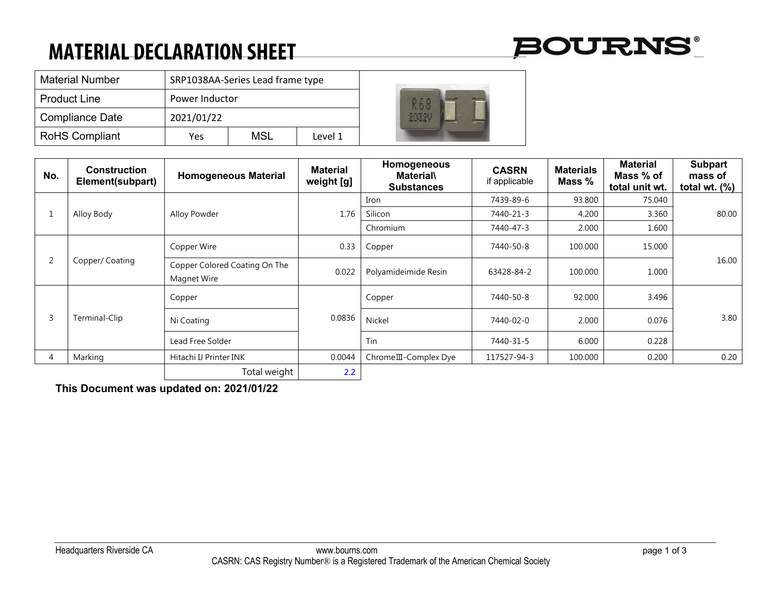# **MATERIAL DECLARATION SHEET**



| <b>Material Number</b> | SRP1038AA-Series Lead frame type |     |         |  |
|------------------------|----------------------------------|-----|---------|--|
| <b>Product Line</b>    | Power Inductor                   |     |         |  |
| Compliance Date        | 2021/01/22                       |     |         |  |
| <b>RoHS Compliant</b>  | Yes                              | MSL | Level 1 |  |

| No.            | Construction<br>Element(subpart) | <b>Homogeneous Material</b>                  | <b>Material</b><br>weight [g] | Homogeneous<br><b>Material</b><br><b>Substances</b> | <b>CASRN</b><br>if applicable | <b>Materials</b><br>Mass % | <b>Material</b><br>Mass % of<br>total unit wt. | <b>Subpart</b><br>mass of<br>total wt. $(\%)$ |
|----------------|----------------------------------|----------------------------------------------|-------------------------------|-----------------------------------------------------|-------------------------------|----------------------------|------------------------------------------------|-----------------------------------------------|
| Ŧ.             | Alloy Body                       | Alloy Powder                                 | 1.76                          | Iron                                                | 7439-89-6                     | 93.800                     | 75.040                                         | 80.00                                         |
|                |                                  |                                              |                               | Silicon                                             | 7440-21-3                     | 4.200                      | 3.360                                          |                                               |
|                |                                  |                                              |                               | Chromium                                            | 7440-47-3                     | 2.000                      | 1.600                                          |                                               |
| $\overline{2}$ | Copper/Coating                   | Copper Wire                                  | 0.33                          | Copper                                              | 7440-50-8                     | 100.000                    | 15.000                                         | 16.00                                         |
|                |                                  | Copper Colored Coating On The<br>Magnet Wire | 0.022                         | Polyamideimide Resin                                | 63428-84-2                    | 100.000                    | 1.000                                          |                                               |
| 3              | Terminal-Clip                    | Copper                                       | 0.0836                        | Copper                                              | 7440-50-8                     | 92.000                     | 3.496                                          | 3.80                                          |
|                |                                  | Ni Coating                                   |                               | Nickel                                              | 7440-02-0                     | 2.000                      | 0.076                                          |                                               |
|                |                                  | Lead Free Solder                             |                               | Tin                                                 | 7440-31-5                     | 6.000                      | 0.228                                          |                                               |
| 4              | Marking                          | Hitachi IJ Printer INK                       | 0.0044                        | Chrome III - Complex Dye                            | 117527-94-3                   | 100.000                    | 0.200                                          | 0.20                                          |
|                |                                  | Total weight                                 | 2.2                           |                                                     |                               |                            |                                                |                                               |

**This Document was updated on: 2021/01/22**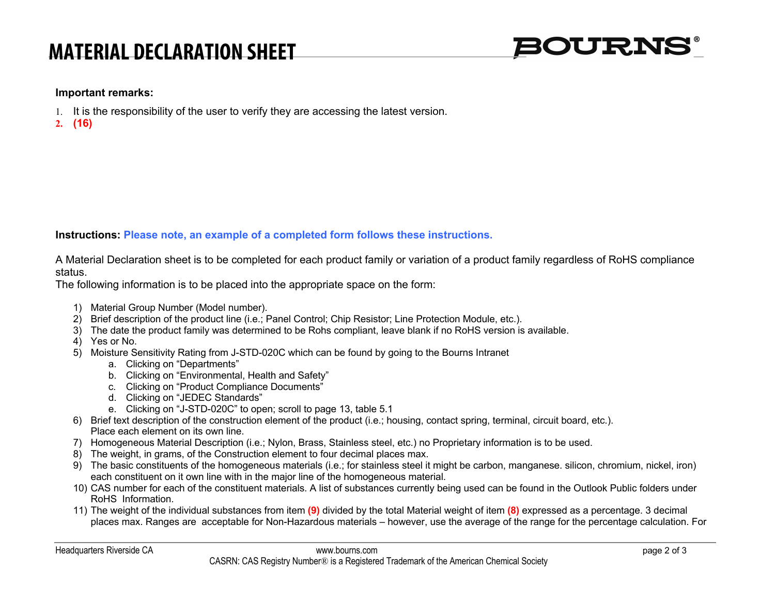## **MATERIAL DECLARATION SHEET**



#### **Important remarks:**

- 1. It is the responsibility of the user to verify they are accessing the latest version.
- **2. (16)**

### **Instructions: Please note, an example of a completed form follows these instructions.**

A Material Declaration sheet is to be completed for each product family or variation of a product family regardless of RoHS compliance status.

The following information is to be placed into the appropriate space on the form:

- 1) Material Group Number (Model number).
- 2) Brief description of the product line (i.e.; Panel Control; Chip Resistor; Line Protection Module, etc.).
- 3) The date the product family was determined to be Rohs compliant, leave blank if no RoHS version is available.
- 4) Yes or No.
- 5) Moisture Sensitivity Rating from J-STD-020C which can be found by going to the Bourns Intranet
	- a. Clicking on "Departments"
	- b. Clicking on "Environmental, Health and Safety"
	- c. Clicking on "Product Compliance Documents"
	- d. Clicking on "JEDEC Standards"
	- e. Clicking on "J-STD-020C" to open; scroll to page 13, table 5.1
- 6) Brief text description of the construction element of the product (i.e.; housing, contact spring, terminal, circuit board, etc.). Place each element on its own line.
- 7) Homogeneous Material Description (i.e.; Nylon, Brass, Stainless steel, etc.) no Proprietary information is to be used.
- 8) The weight, in grams, of the Construction element to four decimal places max.
- 9) The basic constituents of the homogeneous materials (i.e.; for stainless steel it might be carbon, manganese. silicon, chromium, nickel, iron) each constituent on it own line with in the major line of the homogeneous material.
- 10) CAS number for each of the constituent materials. A list of substances currently being used can be found in the Outlook Public folders under RoHS Information.
- 11) The weight of the individual substances from item **(9)** divided by the total Material weight of item **(8)** expressed as a percentage. 3 decimal places max. Ranges are acceptable for Non-Hazardous materials – however, use the average of the range for the percentage calculation. For